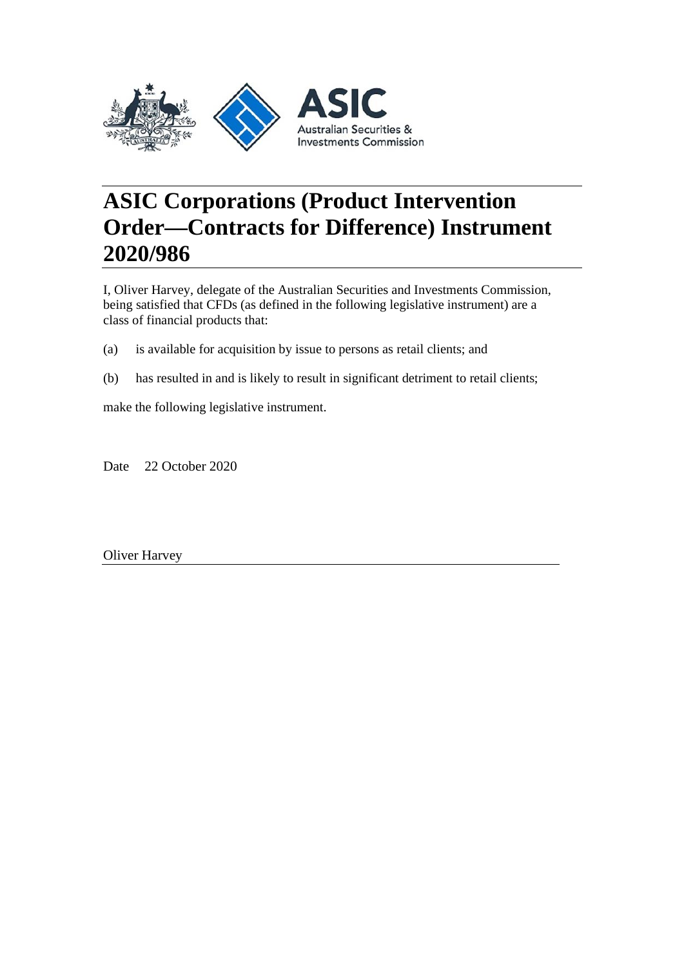

# **ASIC Corporations (Product Intervention Order—Contracts for Difference) Instrument 2020/986**

I, Oliver Harvey, delegate of the Australian Securities and Investments Commission, being satisfied that CFDs (as defined in the following legislative instrument) are a class of financial products that:

- (a) is available for acquisition by issue to persons as retail clients; and
- (b) has resulted in and is likely to result in significant detriment to retail clients;

make the following legislative instrument.

Date 22 October 2020

Oliver Harvey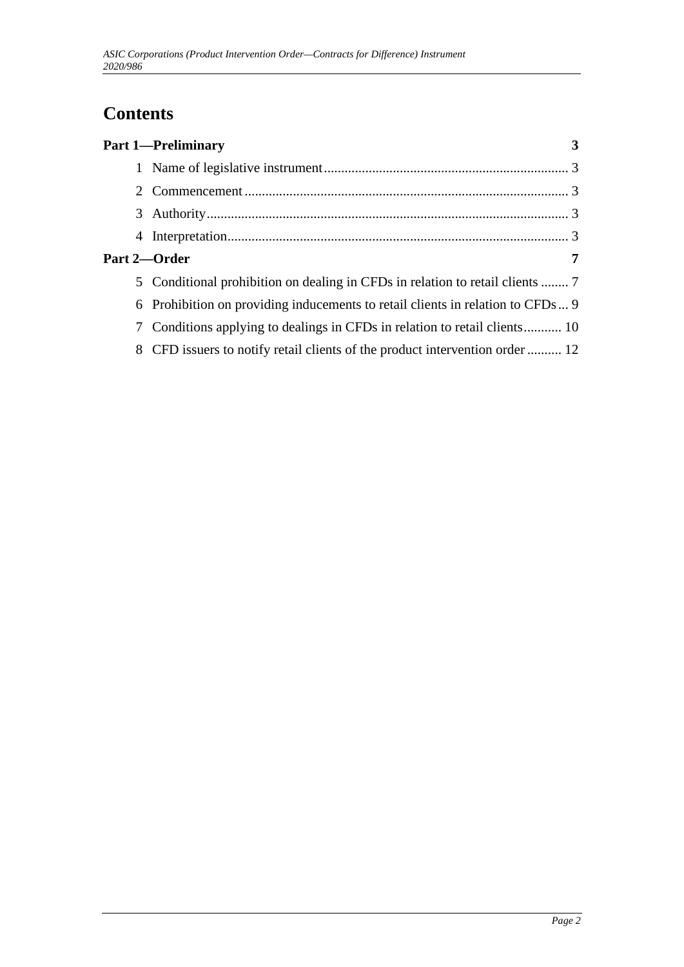# **Contents**

|   | <b>Part 1-Preliminary</b>                                                      |
|---|--------------------------------------------------------------------------------|
|   |                                                                                |
|   |                                                                                |
|   |                                                                                |
|   |                                                                                |
|   | Part 2-Order<br>7                                                              |
|   |                                                                                |
|   | 6 Prohibition on providing inducements to retail clients in relation to CFDs 9 |
|   | Conditions applying to dealings in CFDs in relation to retail clients 10       |
| 8 | CFD issuers to notify retail clients of the product intervention order  12     |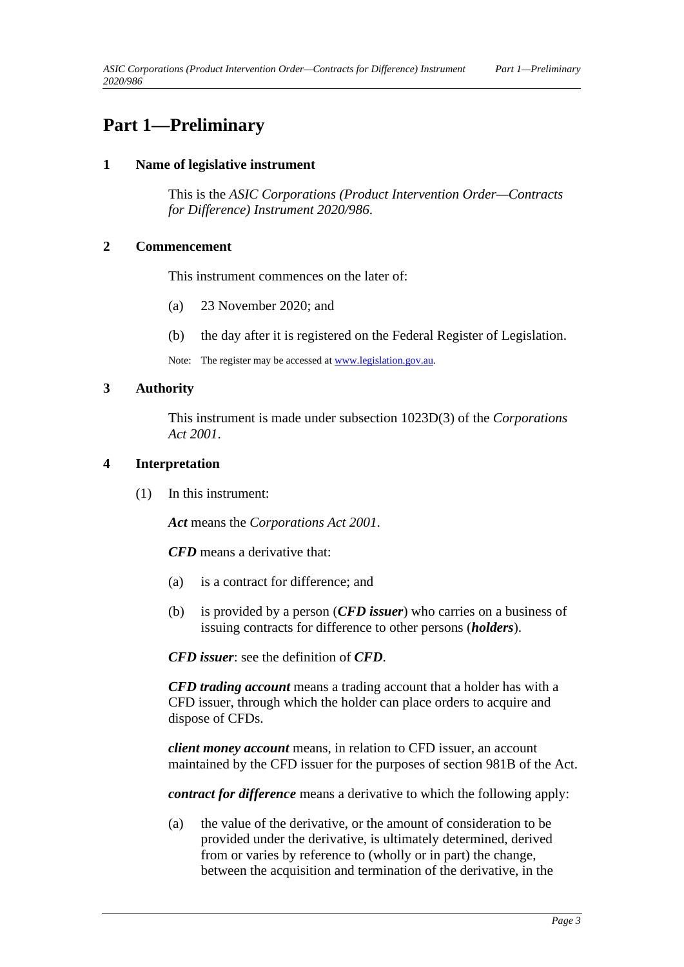# <span id="page-2-1"></span><span id="page-2-0"></span>**Part 1—Preliminary**

## **1 Name of legislative instrument**

This is the *ASIC Corporations (Product Intervention Order—Contracts for Difference) Instrument 2020/986*.

### <span id="page-2-2"></span>**2 Commencement**

This instrument commences on the later of:

- (a) 23 November 2020; and
- (b) the day after it is registered on the Federal Register of Legislation.

Note: The register may be accessed a[t www.legislation.gov.au.](http://www.legislation.gov.au/)

## <span id="page-2-3"></span>**3 Authority**

This instrument is made under subsection 1023D(3) of the *Corporations Act 2001*.

#### <span id="page-2-4"></span>**4 Interpretation**

(1) In this instrument:

*Act* means the *Corporations Act 2001*.

*CFD* means a derivative that:

- (a) is a contract for difference; and
- (b) is provided by a person (*CFD issuer*) who carries on a business of issuing contracts for difference to other persons (*holders*).

*CFD issuer*: see the definition of *CFD*.

*CFD trading account* means a trading account that a holder has with a CFD issuer, through which the holder can place orders to acquire and dispose of CFDs.

*client money account* means, in relation to CFD issuer, an account maintained by the CFD issuer for the purposes of section 981B of the Act.

*contract for difference* means a derivative to which the following apply:

(a) the value of the derivative, or the amount of consideration to be provided under the derivative, is ultimately determined, derived from or varies by reference to (wholly or in part) the change, between the acquisition and termination of the derivative, in the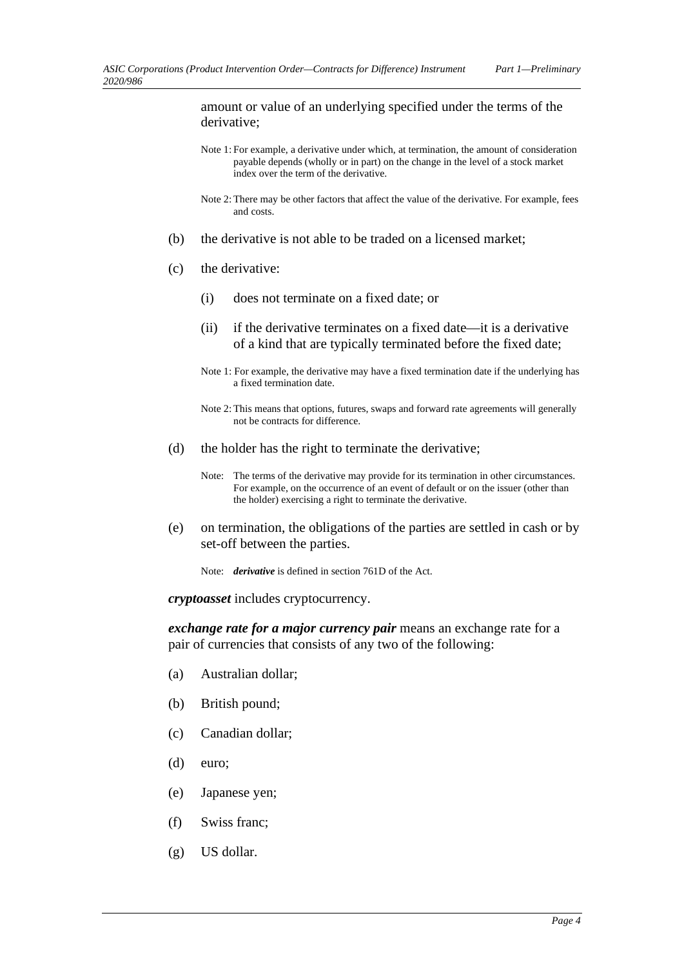amount or value of an underlying specified under the terms of the derivative;

- Note 1: For example, a derivative under which, at termination, the amount of consideration payable depends (wholly or in part) on the change in the level of a stock market index over the term of the derivative.
- Note 2: There may be other factors that affect the value of the derivative. For example, fees and costs.
- (b) the derivative is not able to be traded on a licensed market;
- (c) the derivative:
	- (i) does not terminate on a fixed date; or
	- (ii) if the derivative terminates on a fixed date—it is a derivative of a kind that are typically terminated before the fixed date;
	- Note 1: For example, the derivative may have a fixed termination date if the underlying has a fixed termination date.
	- Note 2: This means that options, futures, swaps and forward rate agreements will generally not be contracts for difference.
- (d) the holder has the right to terminate the derivative;
	- Note: The terms of the derivative may provide for its termination in other circumstances. For example, on the occurrence of an event of default or on the issuer (other than the holder) exercising a right to terminate the derivative.
- (e) on termination, the obligations of the parties are settled in cash or by set-off between the parties.

Note: *derivative* is defined in section 761D of the Act.

*cryptoasset* includes cryptocurrency.

*exchange rate for a major currency pair* means an exchange rate for a pair of currencies that consists of any two of the following:

- (a) Australian dollar;
- (b) British pound;
- (c) Canadian dollar;
- (d) euro;
- (e) Japanese yen;
- (f) Swiss franc;
- (g) US dollar.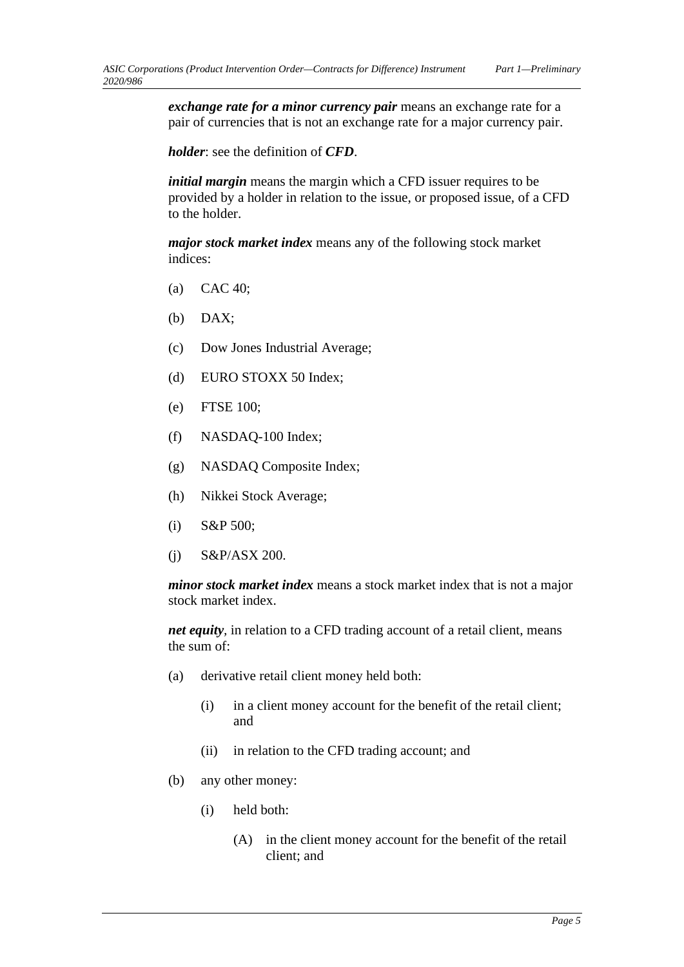*exchange rate for a minor currency pair* means an exchange rate for a pair of currencies that is not an exchange rate for a major currency pair.

*holder*: see the definition of *CFD*.

*initial margin* means the margin which a CFD issuer requires to be provided by a holder in relation to the issue, or proposed issue, of a CFD to the holder.

*major stock market index* means any of the following stock market indices:

- (a) CAC 40;
- (b) DAX;
- (c) Dow Jones Industrial Average;
- (d) EURO STOXX 50 Index;
- (e) FTSE 100;
- (f) NASDAQ-100 Index;
- (g) NASDAQ Composite Index;
- (h) Nikkei Stock Average;
- (i) S&P 500;
- (j) S&P/ASX 200.

*minor stock market index* means a stock market index that is not a major stock market index.

*net equity,* in relation to a CFD trading account of a retail client, means the sum of:

- (a) derivative retail client money held both:
	- (i) in a client money account for the benefit of the retail client; and
	- (ii) in relation to the CFD trading account; and
- (b) any other money:
	- (i) held both:
		- (A) in the client money account for the benefit of the retail client; and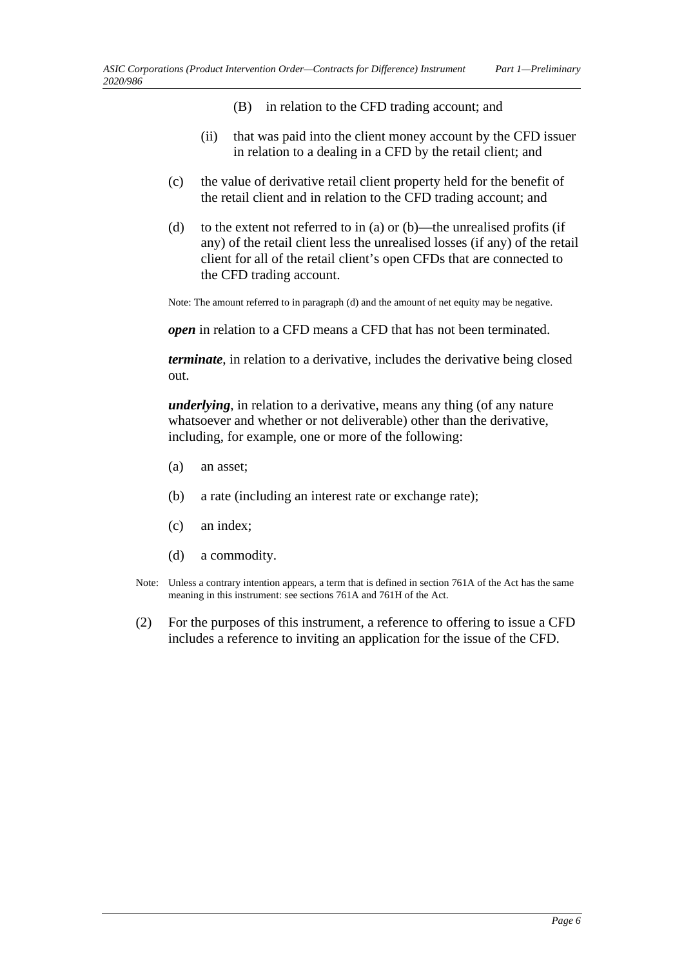- (B) in relation to the CFD trading account; and
- (ii) that was paid into the client money account by the CFD issuer in relation to a dealing in a CFD by the retail client; and
- (c) the value of derivative retail client property held for the benefit of the retail client and in relation to the CFD trading account; and
- (d) to the extent not referred to in (a) or (b)—the unrealised profits (if any) of the retail client less the unrealised losses (if any) of the retail client for all of the retail client's open CFDs that are connected to the CFD trading account.

Note: The amount referred to in paragraph (d) and the amount of net equity may be negative.

*open* in relation to a CFD means a CFD that has not been terminated.

*terminate*, in relation to a derivative, includes the derivative being closed out.

*underlying*, in relation to a derivative, means any thing (of any nature whatsoever and whether or not deliverable) other than the derivative, including, for example, one or more of the following:

- (a) an asset;
- (b) a rate (including an interest rate or exchange rate);
- (c) an index;
- (d) a commodity.
- Note: Unless a contrary intention appears, a term that is defined in section 761A of the Act has the same meaning in this instrument: see sections 761A and 761H of the Act.
- (2) For the purposes of this instrument, a reference to offering to issue a CFD includes a reference to inviting an application for the issue of the CFD.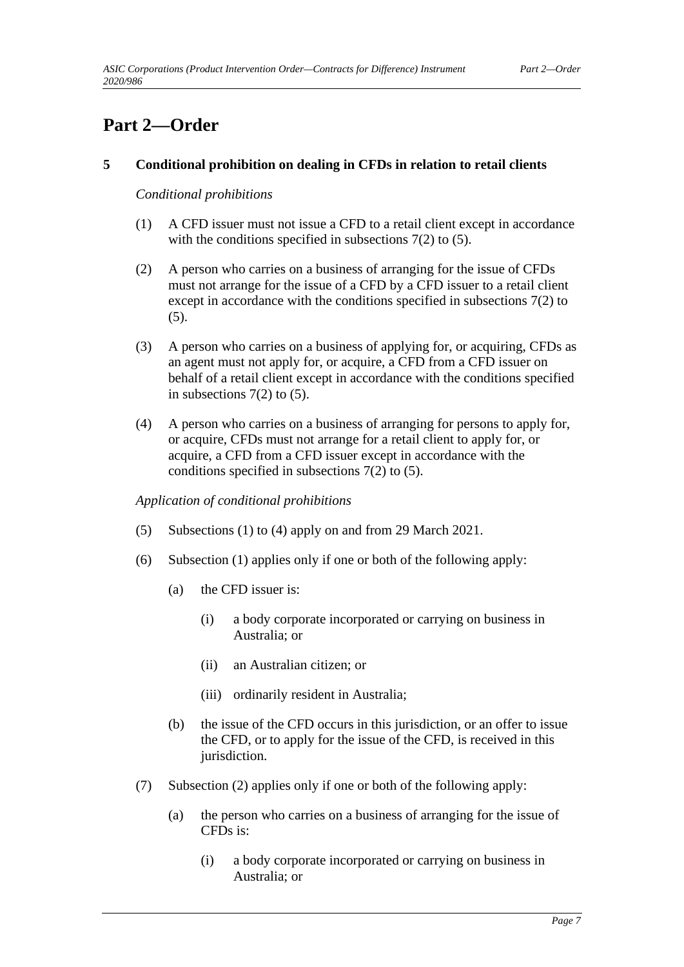# <span id="page-6-1"></span><span id="page-6-0"></span>**Part 2—Order**

# **5 Conditional prohibition on dealing in CFDs in relation to retail clients**

### *Conditional prohibitions*

- (1) A CFD issuer must not issue a CFD to a retail client except in accordance with the conditions specified in subsections  $7(2)$  to  $(5)$ .
- (2) A person who carries on a business of arranging for the issue of CFDs must not arrange for the issue of a CFD by a CFD issuer to a retail client except in accordance with the conditions specified in subsections 7(2) to (5).
- (3) A person who carries on a business of applying for, or acquiring, CFDs as an agent must not apply for, or acquire, a CFD from a CFD issuer on behalf of a retail client except in accordance with the conditions specified in subsections  $7(2)$  to  $(5)$ .
- (4) A person who carries on a business of arranging for persons to apply for, or acquire, CFDs must not arrange for a retail client to apply for, or acquire, a CFD from a CFD issuer except in accordance with the conditions specified in subsections 7(2) to (5).

#### *Application of conditional prohibitions*

- (5) Subsections (1) to (4) apply on and from 29 March 2021.
- (6) Subsection (1) applies only if one or both of the following apply:
	- (a) the CFD issuer is:
		- (i) a body corporate incorporated or carrying on business in Australia; or
		- (ii) an Australian citizen; or
		- (iii) ordinarily resident in Australia;
	- (b) the issue of the CFD occurs in this jurisdiction, or an offer to issue the CFD, or to apply for the issue of the CFD, is received in this jurisdiction.
- (7) Subsection (2) applies only if one or both of the following apply:
	- (a) the person who carries on a business of arranging for the issue of CFDs is:
		- (i) a body corporate incorporated or carrying on business in Australia; or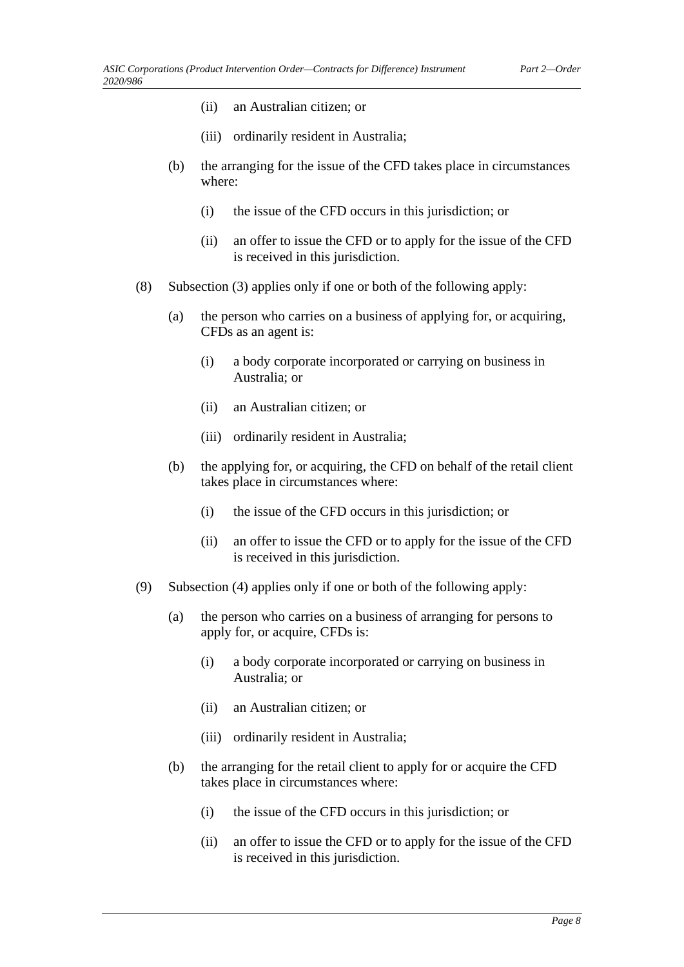- (ii) an Australian citizen; or
- (iii) ordinarily resident in Australia;
- (b) the arranging for the issue of the CFD takes place in circumstances where:
	- (i) the issue of the CFD occurs in this jurisdiction; or
	- (ii) an offer to issue the CFD or to apply for the issue of the CFD is received in this jurisdiction.
- (8) Subsection (3) applies only if one or both of the following apply:
	- (a) the person who carries on a business of applying for, or acquiring, CFDs as an agent is:
		- (i) a body corporate incorporated or carrying on business in Australia; or
		- (ii) an Australian citizen; or
		- (iii) ordinarily resident in Australia;
	- (b) the applying for, or acquiring, the CFD on behalf of the retail client takes place in circumstances where:
		- (i) the issue of the CFD occurs in this jurisdiction; or
		- (ii) an offer to issue the CFD or to apply for the issue of the CFD is received in this jurisdiction.
- (9) Subsection (4) applies only if one or both of the following apply:
	- (a) the person who carries on a business of arranging for persons to apply for, or acquire, CFDs is:
		- (i) a body corporate incorporated or carrying on business in Australia; or
		- (ii) an Australian citizen; or
		- (iii) ordinarily resident in Australia;
	- (b) the arranging for the retail client to apply for or acquire the CFD takes place in circumstances where:
		- (i) the issue of the CFD occurs in this jurisdiction; or
		- (ii) an offer to issue the CFD or to apply for the issue of the CFD is received in this jurisdiction.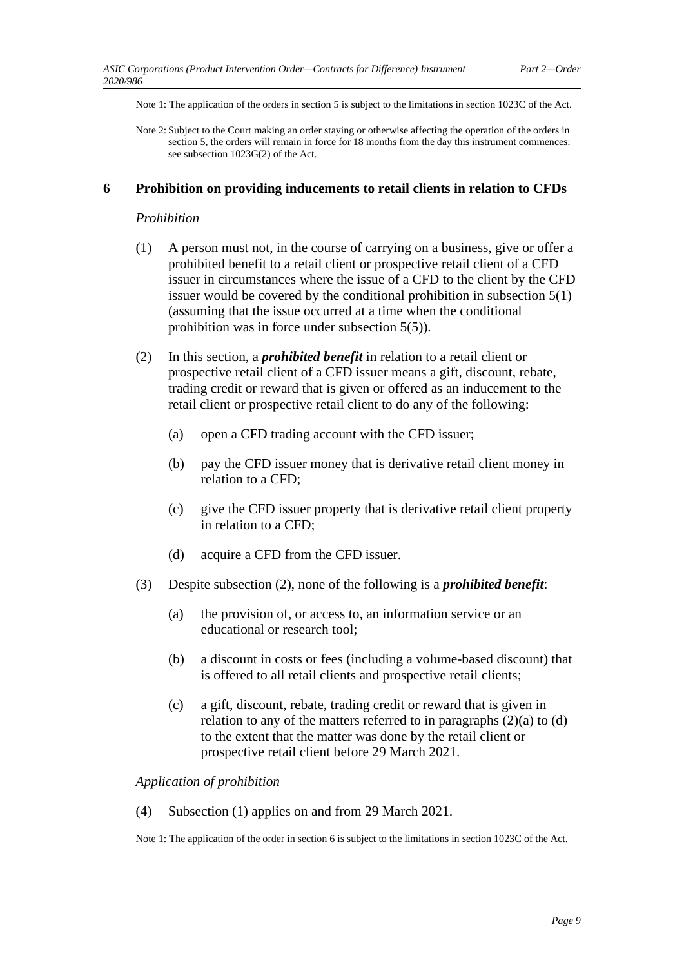Note 1: The application of the orders in section 5 is subject to the limitations in section 1023C of the Act.

Note 2: Subject to the Court making an order staying or otherwise affecting the operation of the orders in section 5, the orders will remain in force for 18 months from the day this instrument commences: see subsection 1023G(2) of the Act.

#### <span id="page-8-0"></span>**6 Prohibition on providing inducements to retail clients in relation to CFDs**

#### *Prohibition*

- (1) A person must not, in the course of carrying on a business, give or offer a prohibited benefit to a retail client or prospective retail client of a CFD issuer in circumstances where the issue of a CFD to the client by the CFD issuer would be covered by the conditional prohibition in subsection 5(1) (assuming that the issue occurred at a time when the conditional prohibition was in force under subsection 5(5)).
- (2) In this section, a *prohibited benefit* in relation to a retail client or prospective retail client of a CFD issuer means a gift, discount, rebate, trading credit or reward that is given or offered as an inducement to the retail client or prospective retail client to do any of the following:
	- (a) open a CFD trading account with the CFD issuer;
	- (b) pay the CFD issuer money that is derivative retail client money in relation to a CFD;
	- (c) give the CFD issuer property that is derivative retail client property in relation to a CFD;
	- (d) acquire a CFD from the CFD issuer.
- (3) Despite subsection (2), none of the following is a *prohibited benefit*:
	- (a) the provision of, or access to, an information service or an educational or research tool;
	- (b) a discount in costs or fees (including a volume-based discount) that is offered to all retail clients and prospective retail clients;
	- (c) a gift, discount, rebate, trading credit or reward that is given in relation to any of the matters referred to in paragraphs (2)(a) to (d) to the extent that the matter was done by the retail client or prospective retail client before 29 March 2021.

#### *Application of prohibition*

(4) Subsection (1) applies on and from 29 March 2021.

Note 1: The application of the order in section 6 is subject to the limitations in section 1023C of the Act.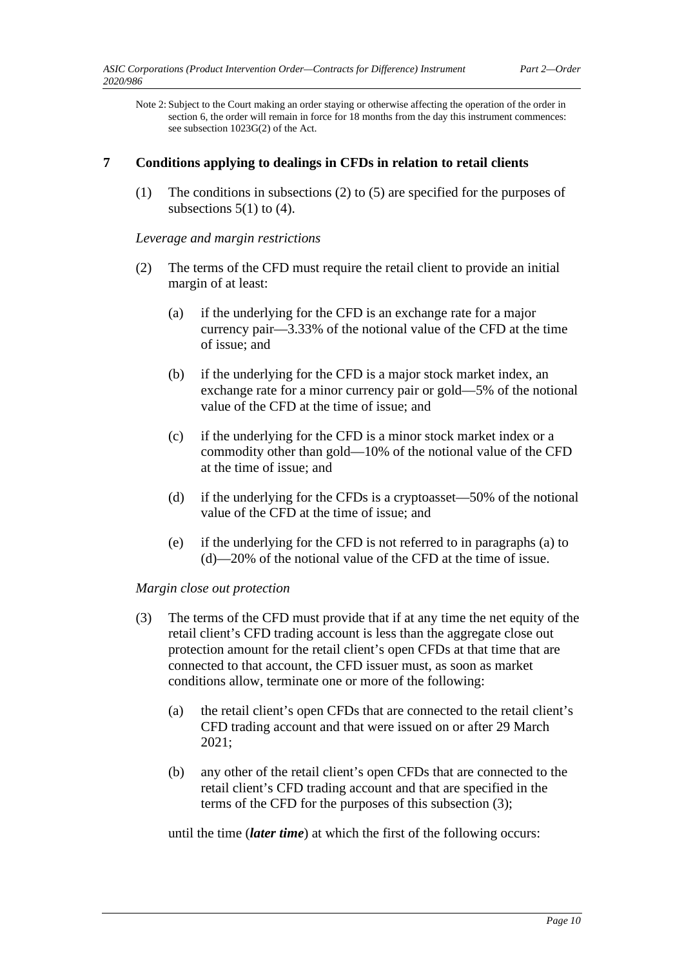Note 2: Subject to the Court making an order staying or otherwise affecting the operation of the order in section 6, the order will remain in force for 18 months from the day this instrument commences: see subsection 1023G(2) of the Act.

## <span id="page-9-0"></span>**7 Conditions applying to dealings in CFDs in relation to retail clients**

(1) The conditions in subsections (2) to (5) are specified for the purposes of subsections 5(1) to (4).

*Leverage and margin restrictions* 

- (2) The terms of the CFD must require the retail client to provide an initial margin of at least:
	- (a) if the underlying for the CFD is an exchange rate for a major currency pair—3.33% of the notional value of the CFD at the time of issue; and
	- (b) if the underlying for the CFD is a major stock market index, an exchange rate for a minor currency pair or gold—5% of the notional value of the CFD at the time of issue; and
	- (c) if the underlying for the CFD is a minor stock market index or a commodity other than gold—10% of the notional value of the CFD at the time of issue; and
	- (d) if the underlying for the CFDs is a cryptoasset—50% of the notional value of the CFD at the time of issue; and
	- (e) if the underlying for the CFD is not referred to in paragraphs (a) to (d)—20% of the notional value of the CFD at the time of issue.

#### *Margin close out protection*

- (3) The terms of the CFD must provide that if at any time the net equity of the retail client's CFD trading account is less than the aggregate close out protection amount for the retail client's open CFDs at that time that are connected to that account, the CFD issuer must, as soon as market conditions allow, terminate one or more of the following:
	- (a) the retail client's open CFDs that are connected to the retail client's CFD trading account and that were issued on or after 29 March 2021;
	- (b) any other of the retail client's open CFDs that are connected to the retail client's CFD trading account and that are specified in the terms of the CFD for the purposes of this subsection (3);

until the time (*later time*) at which the first of the following occurs: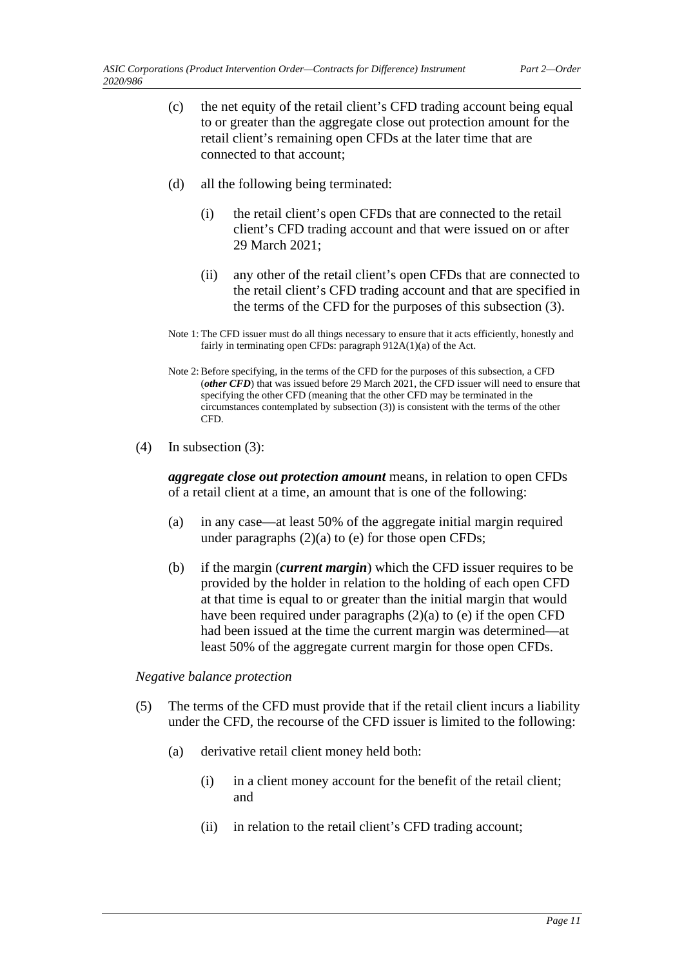- (c) the net equity of the retail client's CFD trading account being equal to or greater than the aggregate close out protection amount for the retail client's remaining open CFDs at the later time that are connected to that account;
- (d) all the following being terminated:
	- (i) the retail client's open CFDs that are connected to the retail client's CFD trading account and that were issued on or after 29 March 2021;
	- (ii) any other of the retail client's open CFDs that are connected to the retail client's CFD trading account and that are specified in the terms of the CFD for the purposes of this subsection (3).
- Note 1: The CFD issuer must do all things necessary to ensure that it acts efficiently, honestly and fairly in terminating open CFDs: paragraph 912A(1)(a) of the Act.
- Note 2: Before specifying, in the terms of the CFD for the purposes of this subsection, a CFD (*other CFD*) that was issued before 29 March 2021, the CFD issuer will need to ensure that specifying the other CFD (meaning that the other CFD may be terminated in the circumstances contemplated by subsection (3)) is consistent with the terms of the other CFD.
- (4) In subsection (3):

*aggregate close out protection amount* means, in relation to open CFDs of a retail client at a time, an amount that is one of the following:

- (a) in any case—at least 50% of the aggregate initial margin required under paragraphs  $(2)(a)$  to  $(e)$  for those open CFDs;
- (b) if the margin (*current margin*) which the CFD issuer requires to be provided by the holder in relation to the holding of each open CFD at that time is equal to or greater than the initial margin that would have been required under paragraphs (2)(a) to (e) if the open CFD had been issued at the time the current margin was determined—at least 50% of the aggregate current margin for those open CFDs.

#### *Negative balance protection*

- (5) The terms of the CFD must provide that if the retail client incurs a liability under the CFD, the recourse of the CFD issuer is limited to the following:
	- (a) derivative retail client money held both:
		- (i) in a client money account for the benefit of the retail client; and
		- (ii) in relation to the retail client's CFD trading account;